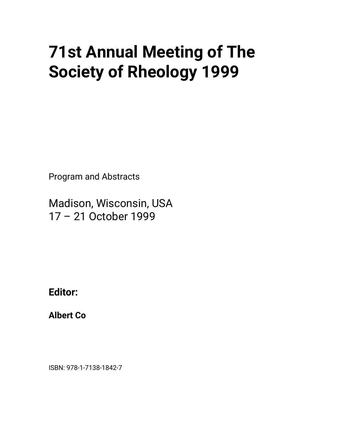## • **71st Annual Meeting of The Society of Rheology 1999**

Program and Abstracts

Madison, Wisconsin, USA 17 – 21 October 1999

**Editor:**

**Albert Co**

ISBN: 978-1-7138-1842-7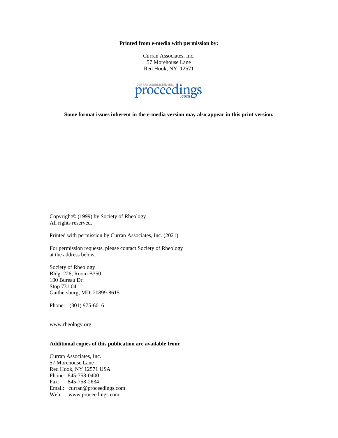**Printed from e-media with permission by:**

Curran Associates, Inc. 57 Morehouse Lane Red Hook, NY 12571



**Some format issues inherent in the e-media version may also appear in this print version.**

Copyright© (1999) by Society of Rheology All rights reserved.

Printed with permission by Curran Associates, Inc. (2021)

For permission requests, please contact Society of Rheology at the address below.

Society of Rheology Bldg. 226, Room B350 100 Bureau Dr. Stop 731.04 Gaithersburg, MD. 20899-8615

Phone: (301) 975-6016

www.rheology.org

## **Additional copies of this publication are available from:**

Curran Associates, Inc. 57 Morehouse Lane Red Hook, NY 12571 USA Phone: 845-758-0400 Fax: 845-758-2634 Email: curran@proceedings.com Web: www.proceedings.com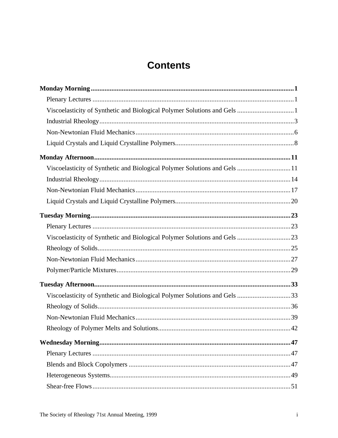## **Contents**

| Viscoelasticity of Synthetic and Biological Polymer Solutions and Gels  11 |  |
|----------------------------------------------------------------------------|--|
|                                                                            |  |
|                                                                            |  |
|                                                                            |  |
|                                                                            |  |
|                                                                            |  |
| Viscoelasticity of Synthetic and Biological Polymer Solutions and Gels 23  |  |
|                                                                            |  |
|                                                                            |  |
|                                                                            |  |
|                                                                            |  |
| Viscoelasticity of Synthetic and Biological Polymer Solutions and Gels 33  |  |
|                                                                            |  |
|                                                                            |  |
|                                                                            |  |
|                                                                            |  |
|                                                                            |  |
|                                                                            |  |
|                                                                            |  |
|                                                                            |  |